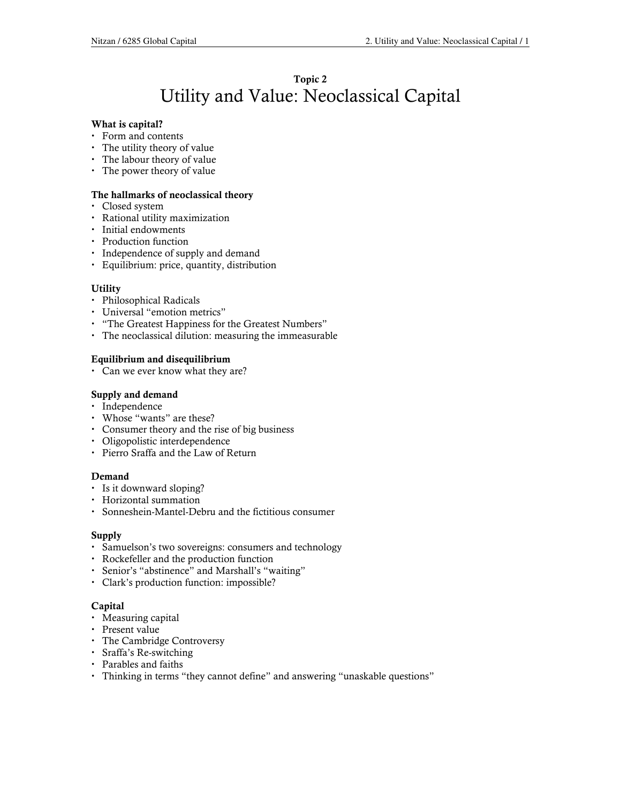## Topic 2

# Utility and Value: Neoclassical Capital

### What is capital?

- Form and contents
- The utility theory of value
- The labour theory of value
- The power theory of value

### The hallmarks of neoclassical theory

- Closed system
- Rational utility maximization
- Initial endowments
- Production function
- Independence of supply and demand
- Equilibrium: price, quantity, distribution

### **Utility**

- Philosophical Radicals
- Universal "emotion metrics"
- "The Greatest Happiness for the Greatest Numbers"
- The neoclassical dilution: measuring the immeasurable

### Equilibrium and disequilibrium

• Can we ever know what they are?

### Supply and demand

- Independence
- Whose "wants" are these?
- Consumer theory and the rise of big business
- Oligopolistic interdependence
- Pierro Sraffa and the Law of Return

### Demand

- Is it downward sloping?
- Horizontal summation
- Sonneshein-Mantel-Debru and the fictitious consumer

### Supply

- Samuelson's two sovereigns: consumers and technology
- Rockefeller and the production function
- Senior's "abstinence" and Marshall's "waiting"
- Clark's production function: impossible?

### Capital

- Measuring capital
- Present value
- The Cambridge Controversy
- Sraffa's Re-switching
- Parables and faiths
- Thinking in terms "they cannot define" and answering "unaskable questions"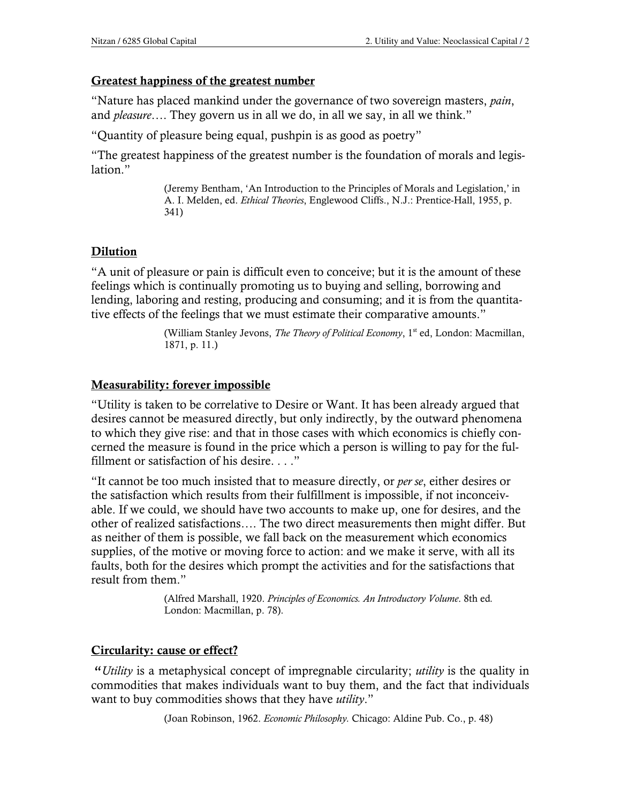## Greatest happiness of the greatest number

"Nature has placed mankind under the governance of two sovereign masters, pain, and *pleasure*.... They govern us in all we do, in all we say, in all we think."

"Quantity of pleasure being equal, pushpin is as good as poetry"

"The greatest happiness of the greatest number is the foundation of morals and legislation."

> (Jeremy Bentham, 'An Introduction to the Principles of Morals and Legislation,' in A. I. Melden, ed. Ethical Theories, Englewood Cliffs., N.J.: Prentice-Hall, 1955, p. 341)

## Dilution

"A unit of pleasure or pain is difficult even to conceive; but it is the amount of these feelings which is continually promoting us to buying and selling, borrowing and lending, laboring and resting, producing and consuming; and it is from the quantitative effects of the feelings that we must estimate their comparative amounts."

> (William Stanley Jevons, The Theory of Political Economy, 1<sup>st</sup> ed, London: Macmillan, 1871, p. 11.)

## Measurability: forever impossible

"Utility is taken to be correlative to Desire or Want. It has been already argued that desires cannot be measured directly, but only indirectly, by the outward phenomena to which they give rise: and that in those cases with which economics is chiefly concerned the measure is found in the price which a person is willing to pay for the fulfillment or satisfaction of his desire. . . ."

"It cannot be too much insisted that to measure directly, or per se, either desires or the satisfaction which results from their fulfillment is impossible, if not inconceivable. If we could, we should have two accounts to make up, one for desires, and the other of realized satisfactions…. The two direct measurements then might differ. But as neither of them is possible, we fall back on the measurement which economics supplies, of the motive or moving force to action: and we make it serve, with all its faults, both for the desires which prompt the activities and for the satisfactions that result from them."

> (Alfred Marshall, 1920. Principles of Economics. An Introductory Volume. 8th ed. London: Macmillan, p. 78).

## Circularity: cause or effect?

"Utility is a metaphysical concept of impregnable circularity; *utility* is the quality in commodities that makes individuals want to buy them, and the fact that individuals want to buy commodities shows that they have *utility*."

(Joan Robinson, 1962. Economic Philosophy. Chicago: Aldine Pub. Co., p. 48)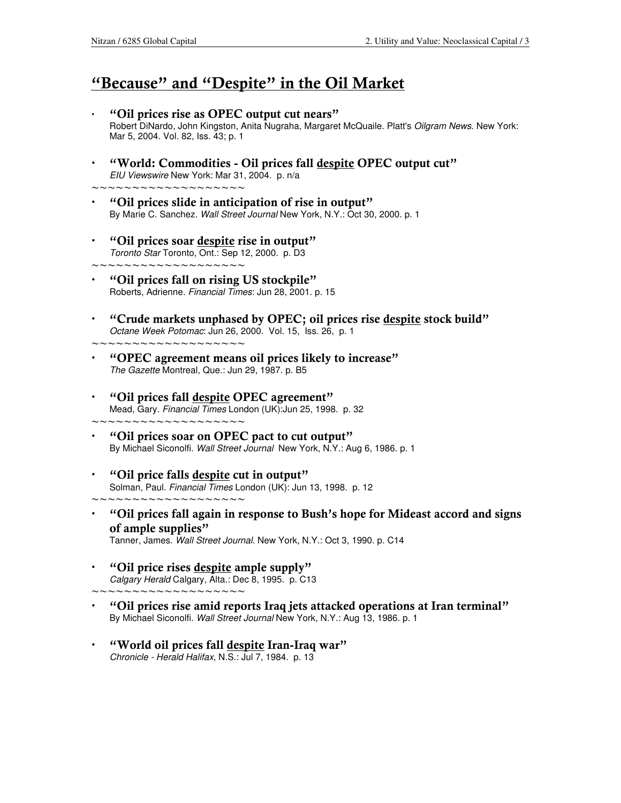# "Because" and "Despite" in the Oil Market

- "Oil prices rise as OPEC output cut nears" Robert DiNardo, John Kingston, Anita Nugraha, Margaret McQuaile. Platt's Oilgram News. New York: Mar 5, 2004. Vol. 82, Iss. 43; p. 1
- "World: Commodities Oil prices fall despite OPEC output cut" EIU Viewswire New York: Mar 31, 2004. p. n/a

 $\frac{1}{2}$ 

- "Oil prices slide in anticipation of rise in output" By Marie C. Sanchez. Wall Street Journal New York, N.Y.: Oct 30, 2000. p. 1
- "Oil prices soar despite rise in output" Toronto Star Toronto, Ont.: Sep 12, 2000. p. D3  $~\sim$   $~\sim$   $~\sim$   $~\sim$   $~\sim$   $~\sim$   $~\sim$   $~\sim$   $~\sim$   $~\sim$   $~\sim$   $~\sim$   $~\sim$   $~\sim$   $~\sim$   $~\sim$   $~\sim$   $~\sim$   $~\sim$   $~\sim$   $~\sim$   $~\sim$   $~\sim$   $~\sim$   $~\sim$   $~\sim$   $~\sim$   $~\sim$   $~\sim$   $~\sim$   $~\sim$   $~\sim$   $~\sim$   $~\sim$   $~\sim$   $~\sim$   $~\sim$
- "Oil prices fall on rising US stockpile" Roberts, Adrienne. Financial Times: Jun 28, 2001. p. 15
- "Crude markets unphased by OPEC; oil prices rise despite stock build" Octane Week Potomac: Jun 26, 2000. Vol. 15, Iss. 26, p. 1

~~~~~~~~~~~~~~~~~~~

- "OPEC agreement means oil prices likely to increase" The Gazette Montreal, Que.: Jun 29, 1987. p. B5
- " "Oil prices fall despite OPEC agreement" Mead, Gary. Financial Times London (UK):Jun 25, 1998. p. 32 ~~~~~~~~~~~~~~~~~~~
- "Oil prices soar on OPEC pact to cut output" By Michael Siconolfi. Wall Street Journal New York, N.Y.: Aug 6, 1986. p. 1
- "Oil price falls despite cut in output" Solman, Paul. Financial Times London (UK): Jun 13, 1998. p. 12  $~\sim$   $~\sim$   $~\sim$   $~\sim$   $~\sim$   $~\sim$   $~\sim$   $~\sim$   $~\sim$   $~\sim$   $~\sim$   $~\sim$   $~\sim$   $~\sim$   $~\sim$   $~\sim$   $~\sim$   $~\sim$   $~\sim$   $~\sim$   $~\sim$   $~\sim$   $~\sim$   $~\sim$   $~\sim$   $~\sim$   $~\sim$   $~\sim$   $~\sim$   $~\sim$   $~\sim$   $~\sim$   $~\sim$   $~\sim$   $~\sim$   $~\sim$   $~\sim$
- "Oil prices fall again in response to Bush's hope for Mideast accord and signs of ample supplies" Tanner, James. Wall Street Journal. New York, N.Y.: Oct 3, 1990. p. C14
- "Oil price rises despite ample supply" Calgary Herald Calgary, Alta.: Dec 8, 1995. p. C13
- ~~~~~~~~~~~~~~~~~~~
- "Oil prices rise amid reports Iraq jets attacked operations at Iran terminal" By Michael Siconolfi. Wall Street Journal New York, N.Y.: Aug 13, 1986. p. 1
- "World oil prices fall despite Iran-Iraq war" Chronicle - Herald Halifax, N.S.: Jul 7, 1984. p. 13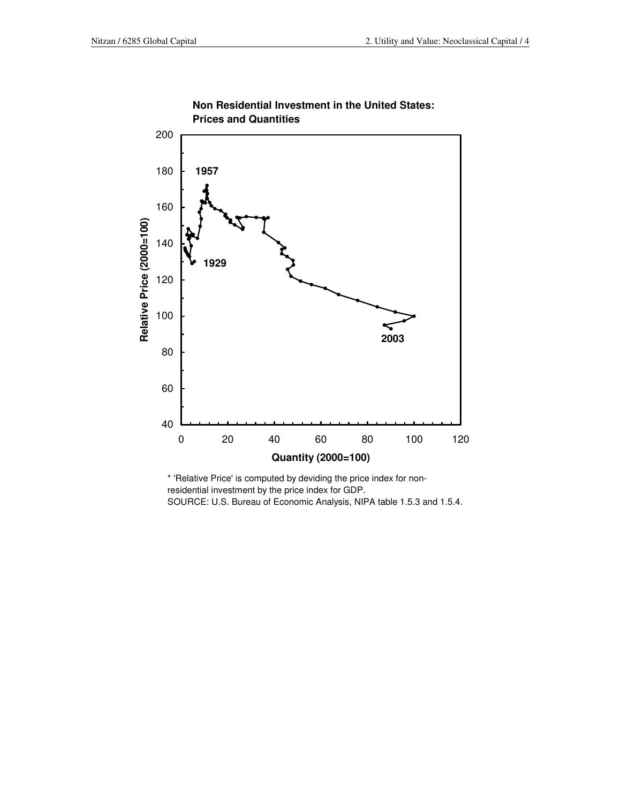

### **Non Residential Investment in the United States: Prices and Quantities**

\* 'Relative Price' is computed by deviding the price index for nonresidential investment by the price index for GDP. SOURCE: U.S. Bureau of Economic Analysis, NIPA table 1.5.3 and 1.5.4.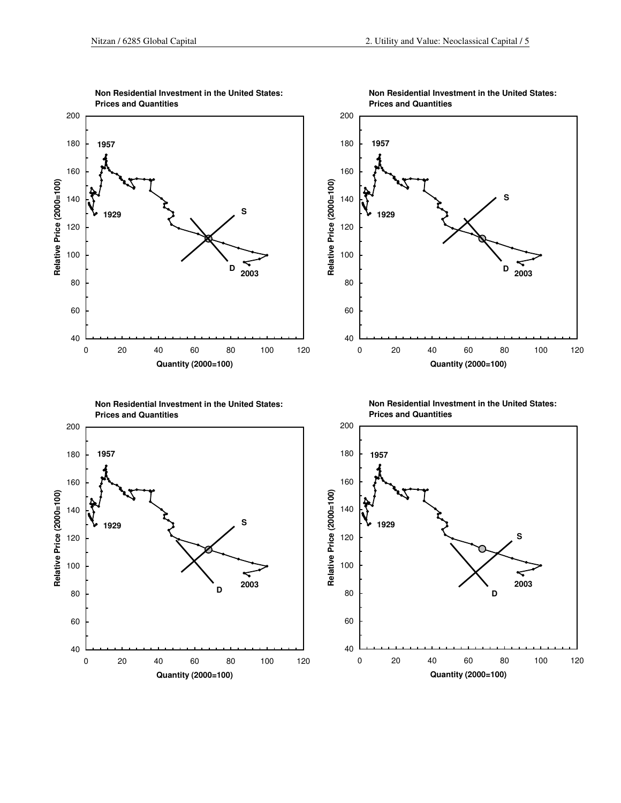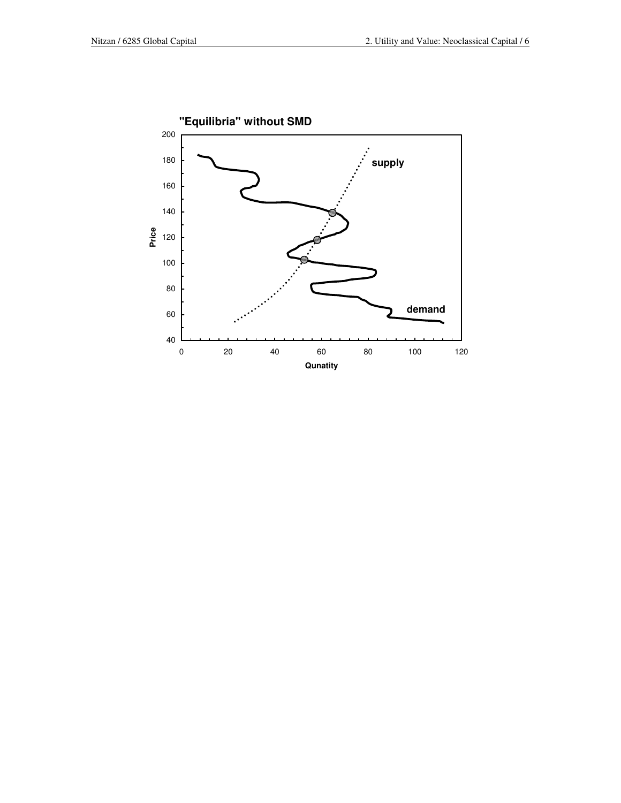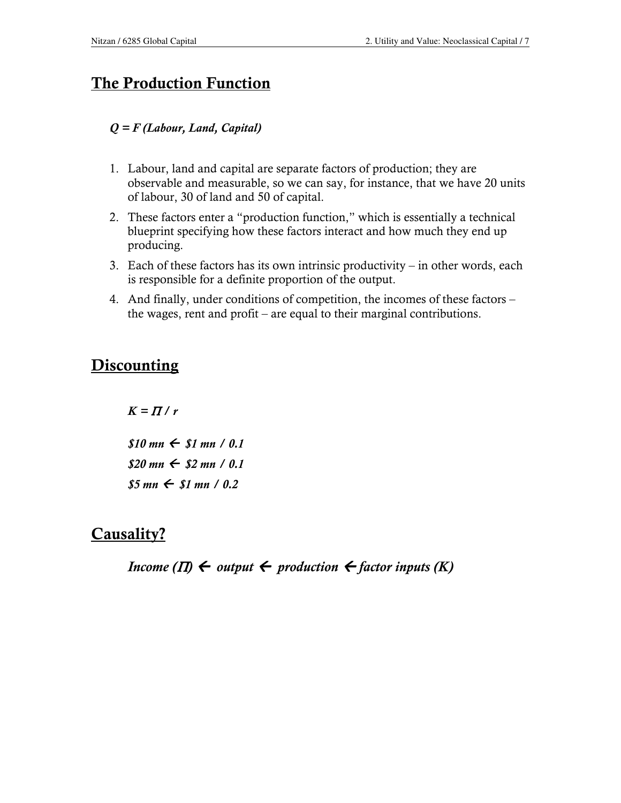# The Production Function

### $Q = F$  (Labour, Land, Capital)

- 1. Labour, land and capital are separate factors of production; they are observable and measurable, so we can say, for instance, that we have 20 units of labour, 30 of land and 50 of capital.
- 2. These factors enter a "production function," which is essentially a technical blueprint specifying how these factors interact and how much they end up producing.
- 3. Each of these factors has its own intrinsic productivity in other words, each is responsible for a definite proportion of the output.
- 4. And finally, under conditions of competition, the incomes of these factors the wages, rent and profit – are equal to their marginal contributions.

# **Discounting**

 $K = \prod / r$ 

 $$10$  mn  $\leftarrow$  \$1 mn / 0.1  $$20$  mn  $\leftarrow$  \$2 mn / 0.1  $$5 \, mn \leftarrow $1 \, mn / 0.2$$ 

## Causality?

Income  $(\Pi) \leftarrow$  output  $\leftarrow$  production  $\leftarrow$  factor inputs  $(K)$